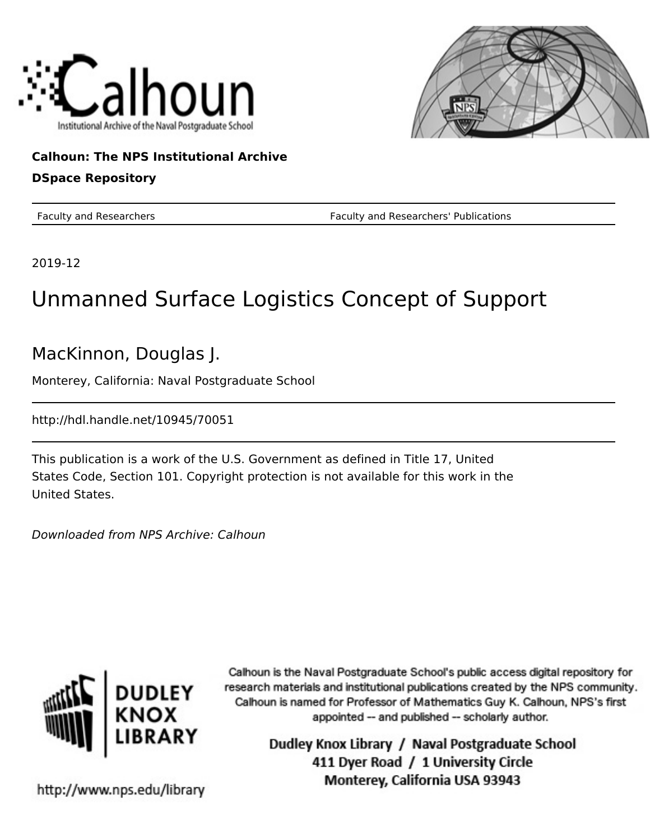



## **Calhoun: The NPS Institutional Archive DSpace Repository**

Faculty and Researchers Faculty and Researchers' Publications

2019-12

# Unmanned Surface Logistics Concept of Support

MacKinnon, Douglas J.

Monterey, California: Naval Postgraduate School

http://hdl.handle.net/10945/70051

This publication is a work of the U.S. Government as defined in Title 17, United States Code, Section 101. Copyright protection is not available for this work in the United States.

Downloaded from NPS Archive: Calhoun



Calhoun is the Naval Postgraduate School's public access digital repository for research materials and institutional publications created by the NPS community. Calhoun is named for Professor of Mathematics Guy K. Calhoun, NPS's first appointed -- and published -- scholarly author.

> Dudley Knox Library / Naval Postgraduate School 411 Dyer Road / 1 University Circle Monterey, California USA 93943

http://www.nps.edu/library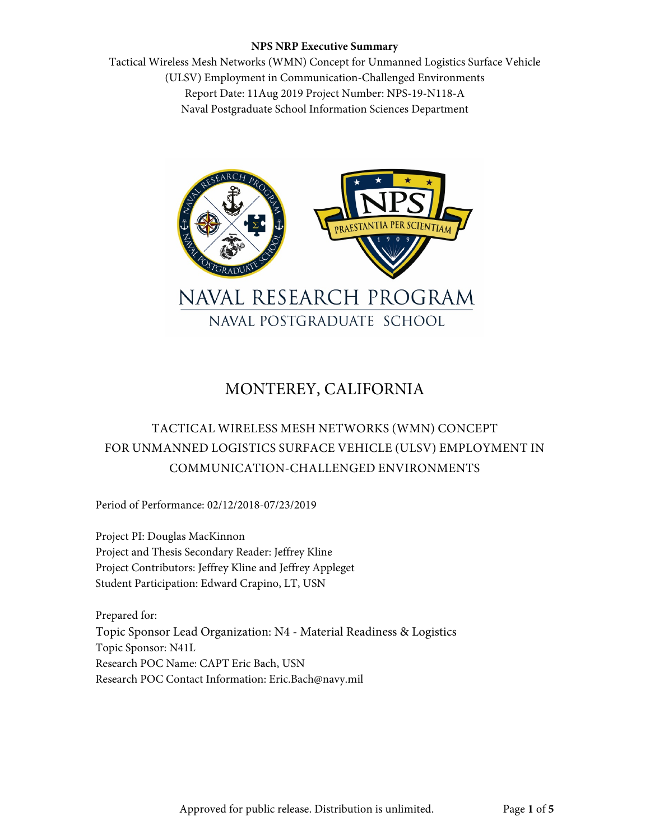Tactical Wireless Mesh Networks (WMN) Concept for Unmanned Logistics Surface Vehicle (ULSV) Employment in Communication-Challenged Environments Report Date: 11Aug 2019 Project Number: NPS-19-N118-A Naval Postgraduate School Information Sciences Department



# MONTEREY, CALIFORNIA

## TACTICAL WIRELESS MESH NETWORKS (WMN) CONCEPT FOR UNMANNED LOGISTICS SURFACE VEHICLE (ULSV) EMPLOYMENT IN COMMUNICATION-CHALLENGED ENVIRONMENTS

Period of Performance: 02/12/2018-07/23/2019

Project PI: Douglas MacKinnon Project and Thesis Secondary Reader: Jeffrey Kline Project Contributors: Jeffrey Kline and Jeffrey Appleget Student Participation: Edward Crapino, LT, USN

Prepared for: Topic Sponsor Lead Organization: N4 - Material Readiness & Logistics Topic Sponsor: N41L Research POC Name: CAPT Eric Bach, USN Research POC Contact Information: Eric.Bach@navy.mil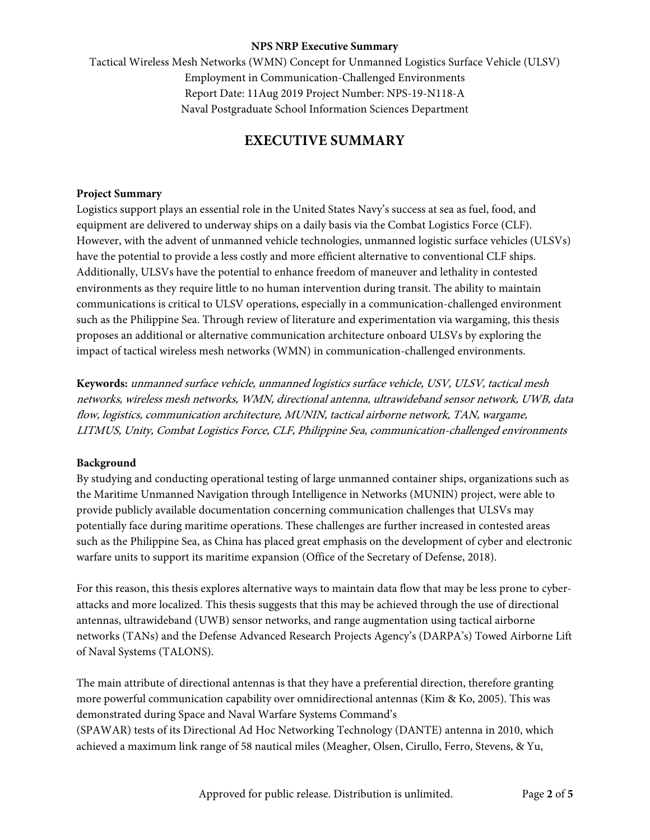Tactical Wireless Mesh Networks (WMN) Concept for Unmanned Logistics Surface Vehicle (ULSV) Employment in Communication-Challenged Environments Report Date: 11Aug 2019 Project Number: NPS-19-N118-A Naval Postgraduate School Information Sciences Department

### **EXECUTIVE SUMMARY**

#### **Project Summary**

Logistics support plays an essential role in the United States Navy's success at sea as fuel, food, and equipment are delivered to underway ships on a daily basis via the Combat Logistics Force (CLF). However, with the advent of unmanned vehicle technologies, unmanned logistic surface vehicles (ULSVs) have the potential to provide a less costly and more efficient alternative to conventional CLF ships. Additionally, ULSVs have the potential to enhance freedom of maneuver and lethality in contested environments as they require little to no human intervention during transit. The ability to maintain communications is critical to ULSV operations, especially in a communication-challenged environment such as the Philippine Sea. Through review of literature and experimentation via wargaming, this thesis proposes an additional or alternative communication architecture onboard ULSVs by exploring the impact of tactical wireless mesh networks (WMN) in communication-challenged environments.

**Keywords:** unmanned surface vehicle, unmanned logistics surface vehicle, USV, ULSV, tactical mesh networks, wireless mesh networks, WMN, directional antenna, ultrawideband sensor network, UWB, data flow, logistics, communication architecture, MUNIN, tactical airborne network, TAN, wargame, LITMUS, Unity, Combat Logistics Force, CLF, Philippine Sea, communication-challenged environments

#### **Background**

By studying and conducting operational testing of large unmanned container ships, organizations such as the Maritime Unmanned Navigation through Intelligence in Networks (MUNIN) project, were able to provide publicly available documentation concerning communication challenges that ULSVs may potentially face during maritime operations. These challenges are further increased in contested areas such as the Philippine Sea, as China has placed great emphasis on the development of cyber and electronic warfare units to support its maritime expansion (Office of the Secretary of Defense, 2018).

For this reason, this thesis explores alternative ways to maintain data flow that may be less prone to cyberattacks and more localized. This thesis suggests that this may be achieved through the use of directional antennas, ultrawideband (UWB) sensor networks, and range augmentation using tactical airborne networks (TANs) and the Defense Advanced Research Projects Agency's (DARPA's) Towed Airborne Lift of Naval Systems (TALONS).

The main attribute of directional antennas is that they have a preferential direction, therefore granting more powerful communication capability over omnidirectional antennas (Kim & Ko, 2005). This was demonstrated during Space and Naval Warfare Systems Command's (SPAWAR) tests of its Directional Ad Hoc Networking Technology (DANTE) antenna in 2010, which achieved a maximum link range of 58 nautical miles (Meagher, Olsen, Cirullo, Ferro, Stevens, & Yu,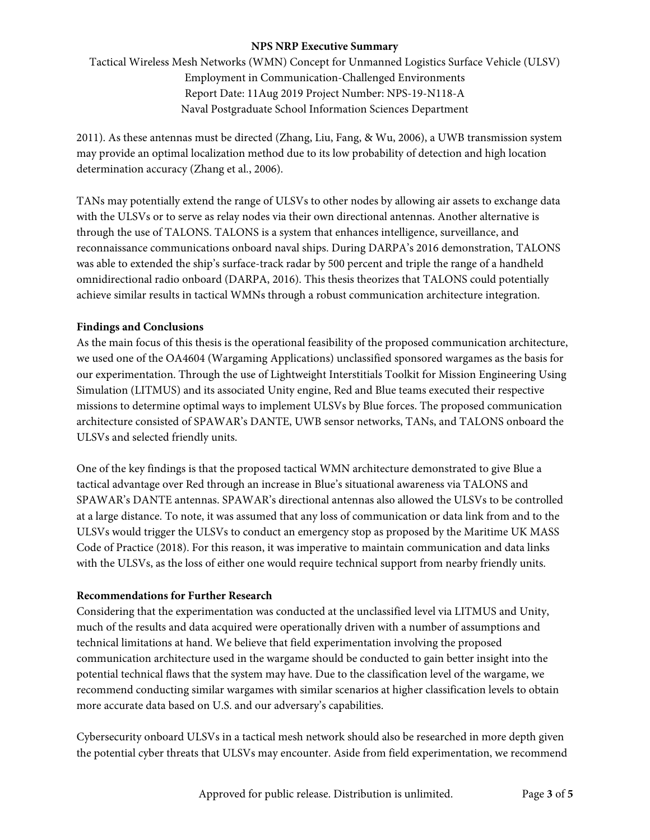Tactical Wireless Mesh Networks (WMN) Concept for Unmanned Logistics Surface Vehicle (ULSV) Employment in Communication-Challenged Environments Report Date: 11Aug 2019 Project Number: NPS-19-N118-A Naval Postgraduate School Information Sciences Department

2011). As these antennas must be directed (Zhang, Liu, Fang, & Wu, 2006), a UWB transmission system may provide an optimal localization method due to its low probability of detection and high location determination accuracy (Zhang et al., 2006).

TANs may potentially extend the range of ULSVs to other nodes by allowing air assets to exchange data with the ULSVs or to serve as relay nodes via their own directional antennas. Another alternative is through the use of TALONS. TALONS is a system that enhances intelligence, surveillance, and reconnaissance communications onboard naval ships. During DARPA's 2016 demonstration, TALONS was able to extended the ship's surface-track radar by 500 percent and triple the range of a handheld omnidirectional radio onboard (DARPA, 2016). This thesis theorizes that TALONS could potentially achieve similar results in tactical WMNs through a robust communication architecture integration.

#### **Findings and Conclusions**

As the main focus of this thesis is the operational feasibility of the proposed communication architecture, we used one of the OA4604 (Wargaming Applications) unclassified sponsored wargames as the basis for our experimentation. Through the use of Lightweight Interstitials Toolkit for Mission Engineering Using Simulation (LITMUS) and its associated Unity engine, Red and Blue teams executed their respective missions to determine optimal ways to implement ULSVs by Blue forces. The proposed communication architecture consisted of SPAWAR's DANTE, UWB sensor networks, TANs, and TALONS onboard the ULSVs and selected friendly units.

One of the key findings is that the proposed tactical WMN architecture demonstrated to give Blue a tactical advantage over Red through an increase in Blue's situational awareness via TALONS and SPAWAR's DANTE antennas. SPAWAR's directional antennas also allowed the ULSVs to be controlled at a large distance. To note, it was assumed that any loss of communication or data link from and to the ULSVs would trigger the ULSVs to conduct an emergency stop as proposed by the Maritime UK MASS Code of Practice (2018). For this reason, it was imperative to maintain communication and data links with the ULSVs, as the loss of either one would require technical support from nearby friendly units.

#### **Recommendations for Further Research**

Considering that the experimentation was conducted at the unclassified level via LITMUS and Unity, much of the results and data acquired were operationally driven with a number of assumptions and technical limitations at hand. We believe that field experimentation involving the proposed communication architecture used in the wargame should be conducted to gain better insight into the potential technical flaws that the system may have. Due to the classification level of the wargame, we recommend conducting similar wargames with similar scenarios at higher classification levels to obtain more accurate data based on U.S. and our adversary's capabilities.

Cybersecurity onboard ULSVs in a tactical mesh network should also be researched in more depth given the potential cyber threats that ULSVs may encounter. Aside from field experimentation, we recommend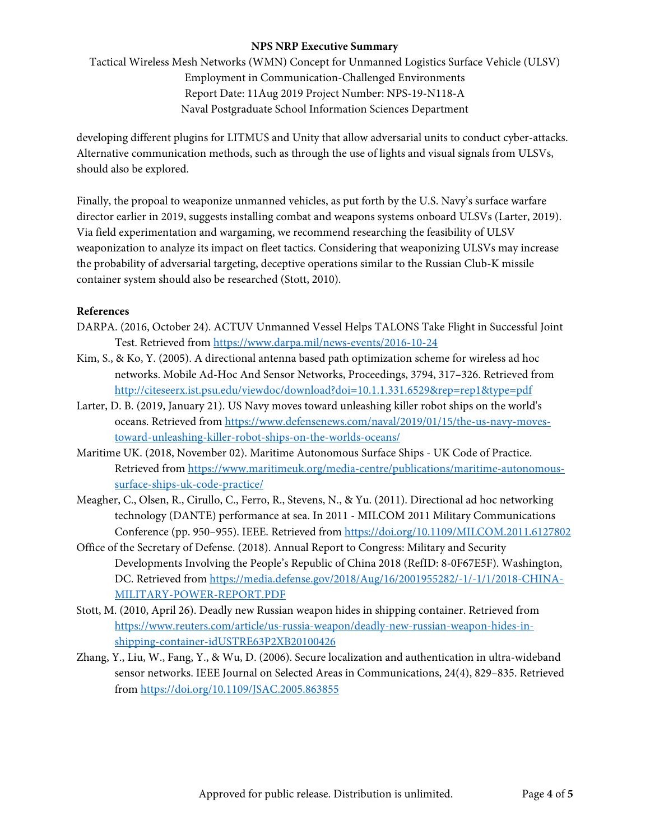Tactical Wireless Mesh Networks (WMN) Concept for Unmanned Logistics Surface Vehicle (ULSV) Employment in Communication-Challenged Environments Report Date: 11Aug 2019 Project Number: NPS-19-N118-A Naval Postgraduate School Information Sciences Department

developing different plugins for LITMUS and Unity that allow adversarial units to conduct cyber-attacks. Alternative communication methods, such as through the use of lights and visual signals from ULSVs, should also be explored.

Finally, the propoal to weaponize unmanned vehicles, as put forth by the U.S. Navy's surface warfare director earlier in 2019, suggests installing combat and weapons systems onboard ULSVs (Larter, 2019). Via field experimentation and wargaming, we recommend researching the feasibility of ULSV weaponization to analyze its impact on fleet tactics. Considering that weaponizing ULSVs may increase the probability of adversarial targeting, deceptive operations similar to the Russian Club-K missile container system should also be researched (Stott, 2010).

#### **References**

- DARPA. (2016, October 24). ACTUV Unmanned Vessel Helps TALONS Take Flight in Successful Joint Test. Retrieved from<https://www.darpa.mil/news-events/2016-10-24>
- Kim, S., & Ko, Y. (2005). A directional antenna based path optimization scheme for wireless ad hoc networks. Mobile Ad-Hoc And Sensor Networks, Proceedings, 3794, 317–326. Retrieved from <http://citeseerx.ist.psu.edu/viewdoc/download?doi=10.1.1.331.6529&rep=rep1&type=pdf>
- Larter, D. B. (2019, January 21). US Navy moves toward unleashing killer robot ships on the world's oceans. Retrieved from [https://www.defensenews.com/naval/2019/01/15/the-us-navy-moves](https://www.defensenews.com/naval/2019/01/15/the-us-navy-moves-toward-unleashing-killer-robot-ships-on-the-worlds-oceans/)[toward-unleashing-killer-robot-ships-on-the-worlds-oceans/](https://www.defensenews.com/naval/2019/01/15/the-us-navy-moves-toward-unleashing-killer-robot-ships-on-the-worlds-oceans/)
- Maritime UK. (2018, November 02). Maritime Autonomous Surface Ships UK Code of Practice. Retrieved from [https://www.maritimeuk.org/media-centre/publications/maritime-autonomous](https://www.maritimeuk.org/media-centre/publications/maritime-autonomous-surface-ships-uk-code-practice/)[surface-ships-uk-code-practice/](https://www.maritimeuk.org/media-centre/publications/maritime-autonomous-surface-ships-uk-code-practice/)
- Meagher, C., Olsen, R., Cirullo, C., Ferro, R., Stevens, N., & Yu. (2011). Directional ad hoc networking technology (DANTE) performance at sea. In 2011 - MILCOM 2011 Military Communications Conference (pp. 950–955). IEEE. Retrieved fro[m https://doi.org/10.1109/MILCOM.2011.6127802](https://doi.org/10.1109/MILCOM.2011.6127802)
- Office of the Secretary of Defense. (2018). Annual Report to Congress: Military and Security Developments Involving the People's Republic of China 2018 (RefID: 8-0F67E5F). Washington, DC. Retrieved from [https://media.defense.gov/2018/Aug/16/2001955282/-1/-1/1/2018-CHINA-](https://media.defense.gov/2018/Aug/16/2001955282/-1/-1/1/2018-CHINA-MILITARY-POWER-REPORT.PDF)[MILITARY-POWER-REPORT.PDF](https://media.defense.gov/2018/Aug/16/2001955282/-1/-1/1/2018-CHINA-MILITARY-POWER-REPORT.PDF)
- Stott, M. (2010, April 26). Deadly new Russian weapon hides in shipping container. Retrieved from [https://www.reuters.com/article/us-russia-weapon/deadly-new-russian-weapon-hides-in](https://www.reuters.com/article/us-russia-weapon/deadly-new-russian-weapon-hides-in-shipping-container-idUSTRE63P2XB20100426)[shipping-container-idUSTRE63P2XB20100426](https://www.reuters.com/article/us-russia-weapon/deadly-new-russian-weapon-hides-in-shipping-container-idUSTRE63P2XB20100426)
- Zhang, Y., Liu, W., Fang, Y., & Wu, D. (2006). Secure localization and authentication in ultra-wideband sensor networks. IEEE Journal on Selected Areas in Communications, 24(4), 829–835. Retrieved from<https://doi.org/10.1109/JSAC.2005.863855>